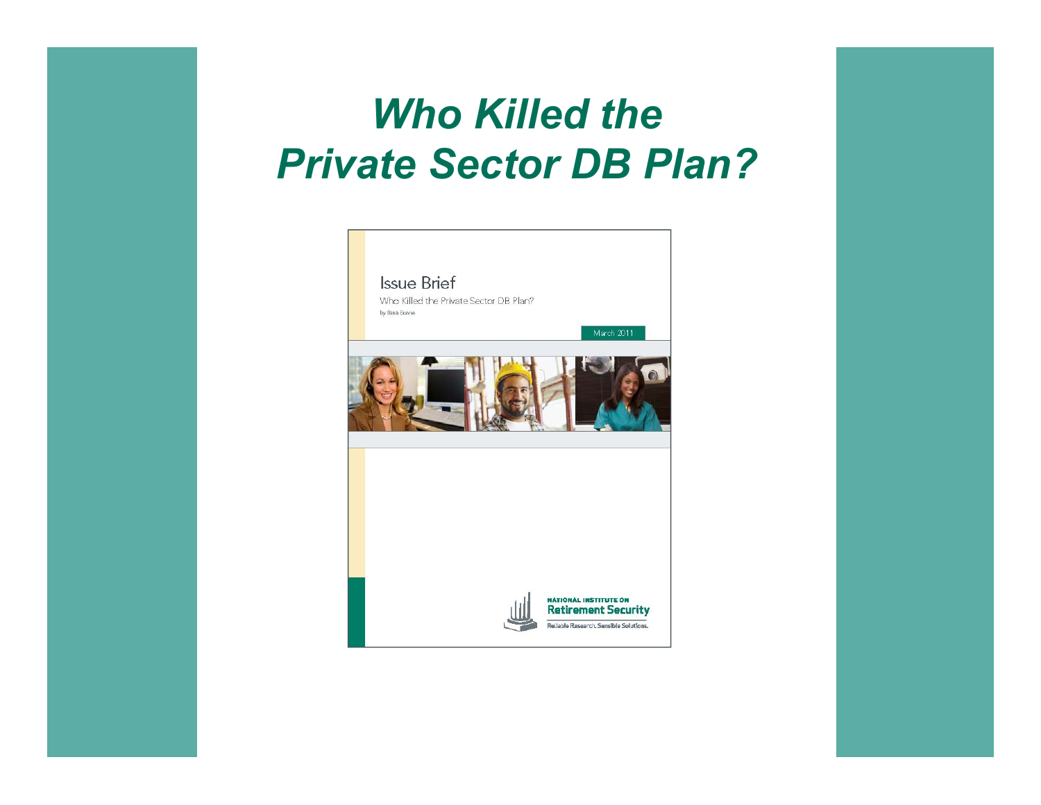#### *Who Killed the Private Sector DB Plan?*

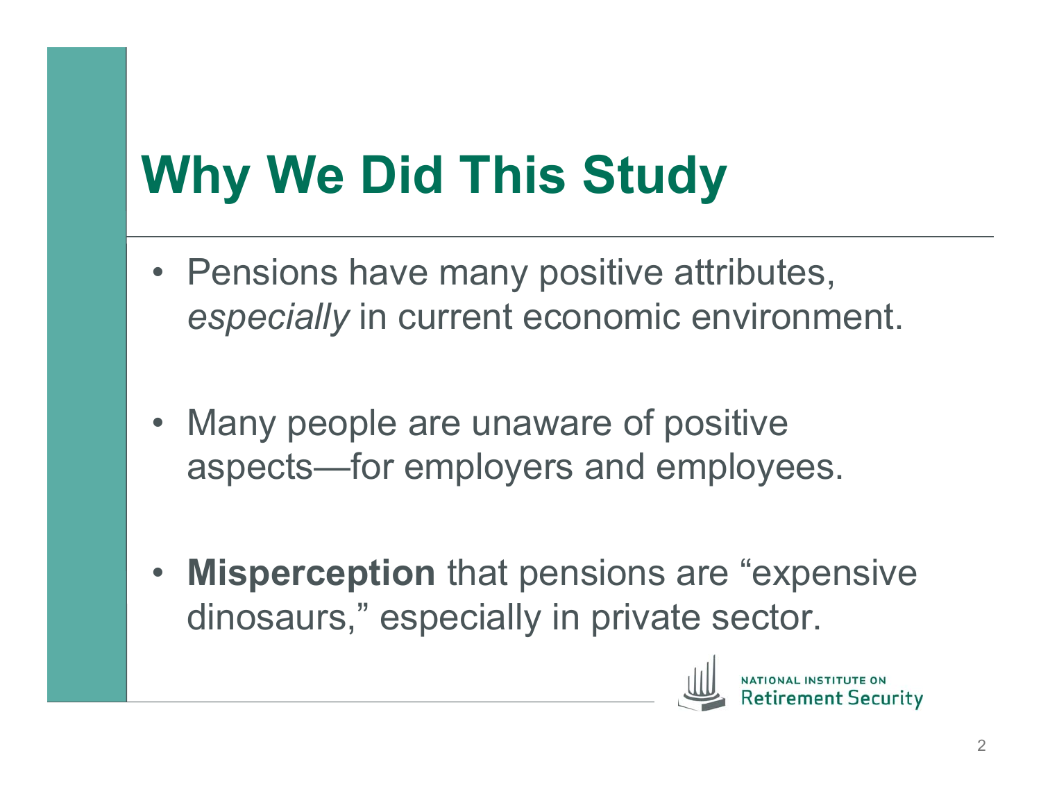# **Why We Did This Study**

- Pensions have many positive attributes, *especially* in current economic environment.
- Many people are unaware of positive aspects—for employers and employees.
- **Misperception** that pensions are "expensive dinosaurs," especially in private sector.

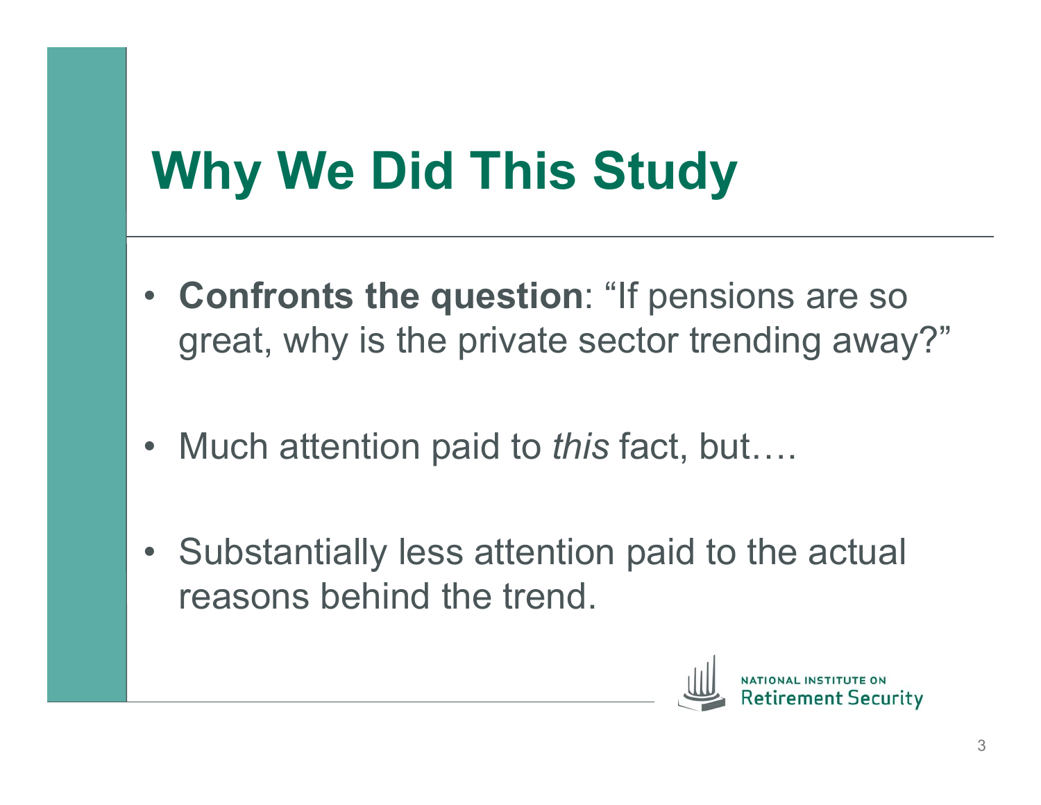# **Why We Did This Study**

- **Confronts the question**: "If pensions are so great, why is the private sector trending away?"
- Much attention paid to *this* fact, but….
- Substantially less attention paid to the actual reasons behind the trend.

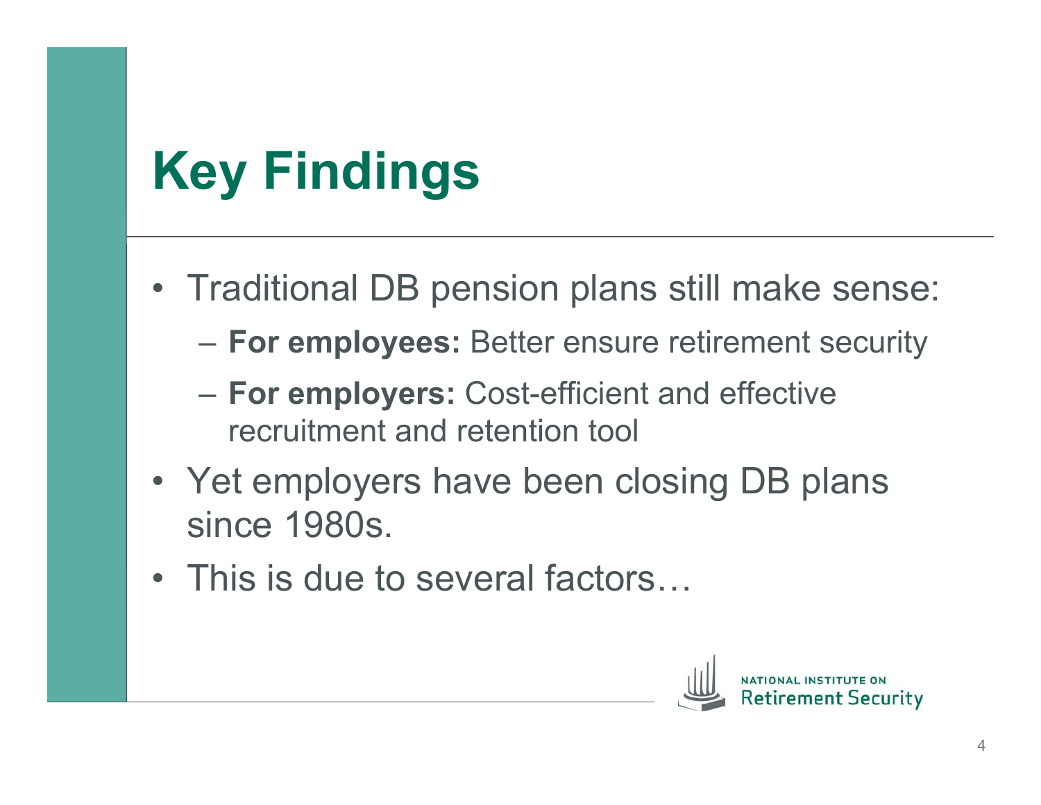# **Key Findings**

- Traditional DB pension plans still make sense:
	- **For employees:** Better ensure retirement security
	- **For employers:** Cost-efficient and effective recruitment and retention tool
- Yet employers have been closing DB plans since 1980s.
- This is due to several factors...

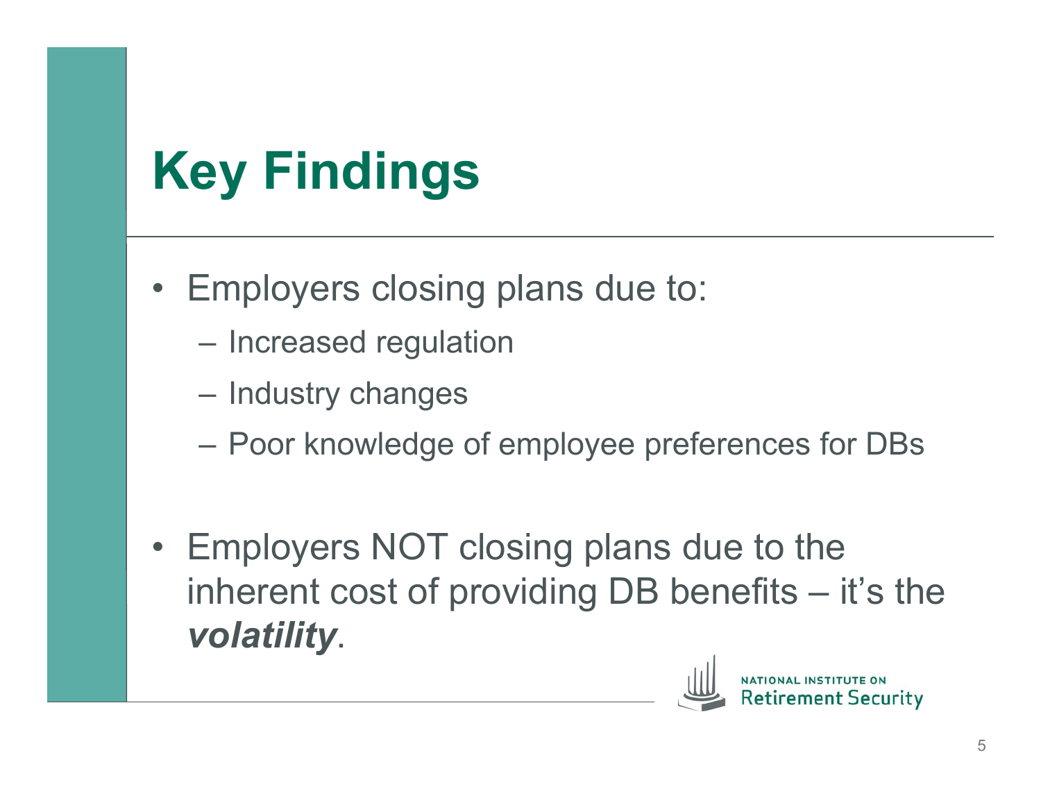## **Key Findings**

- Employers closing plans due to:
	- Increased regulation
	- Industry changes
	- Poor knowledge of employee preferences for DBs
- Employers NOT closing plans due to the inherent cost of providing DB benefits – it's the *volatility*.

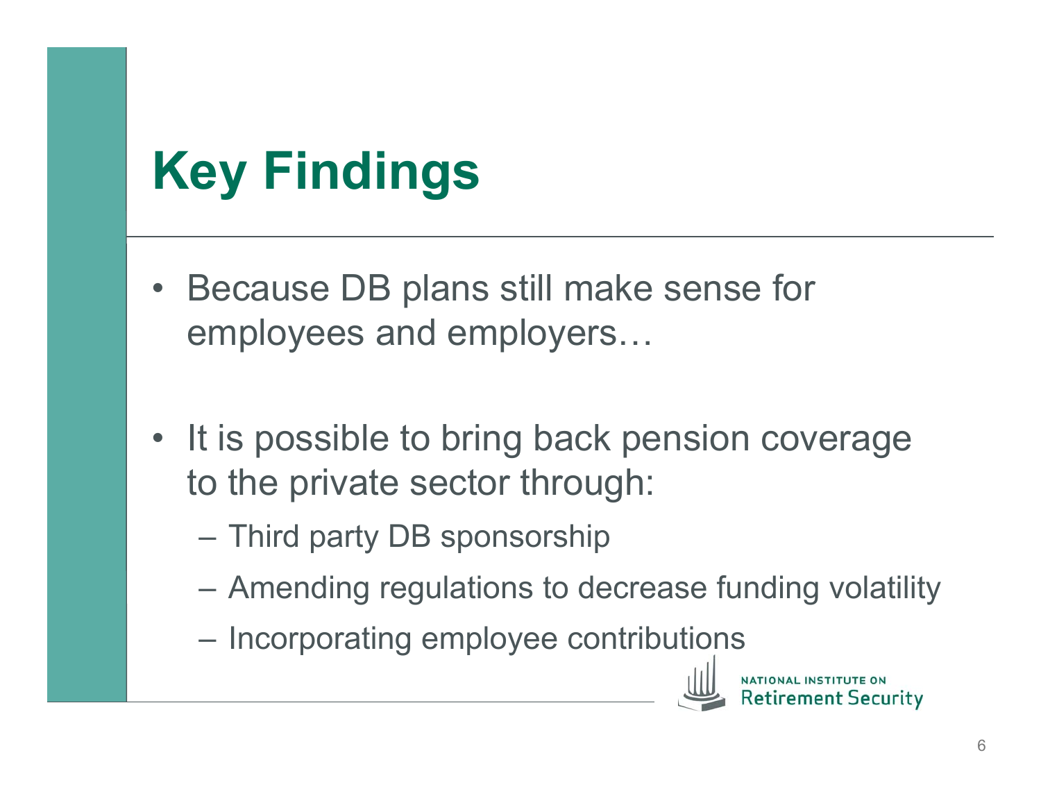#### **Key Findings**

- Because DB plans still make sense for employees and employers…
- It is possible to bring back pension coverage to the private sector through:
	- Third party DB sponsorship
	- Amending regulations to decrease funding volatility
	- Incorporating employee contributions

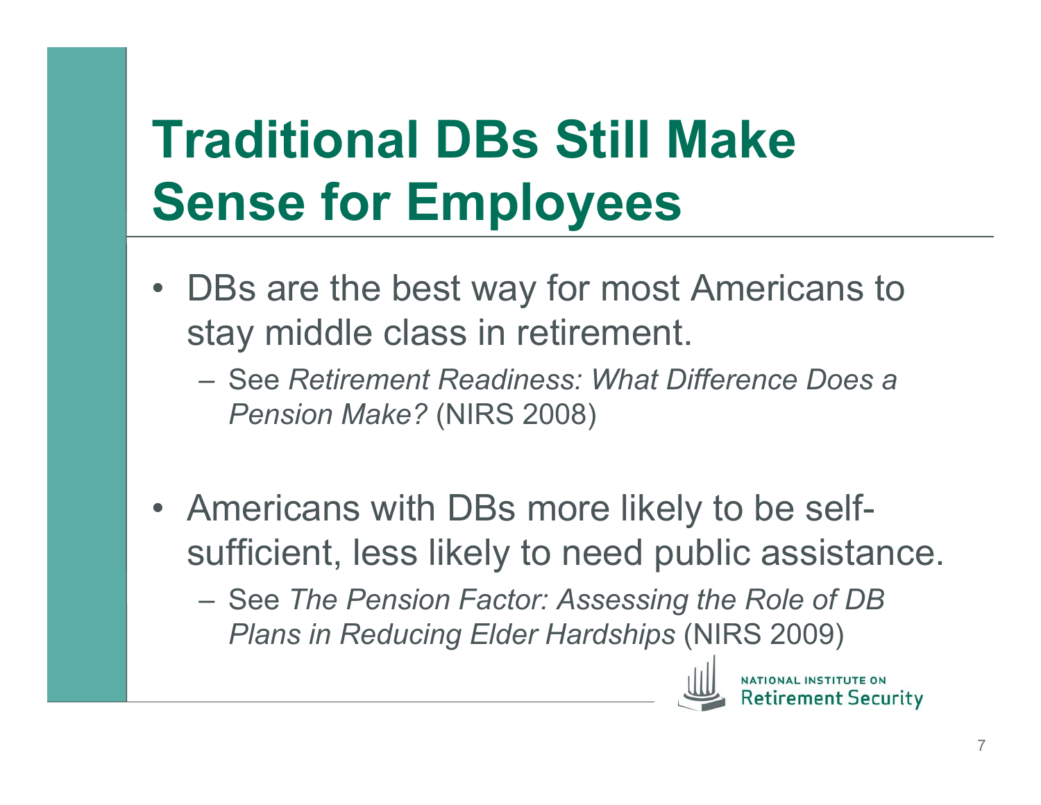# **Traditional DBs Still Make Sense for Employees**

- DBs are the best way for most Americans to stay middle class in retirement.
	- See *Retirement Readiness: What Difference Does a Pension Make?* (NIRS 2008)
- Americans with DBs more likely to be selfsufficient, less likely to need public assistance.
	- See *The Pension Factor: Assessing the Role of DB Plans in Reducing Elder Hardships* (NIRS 2009)



ement Security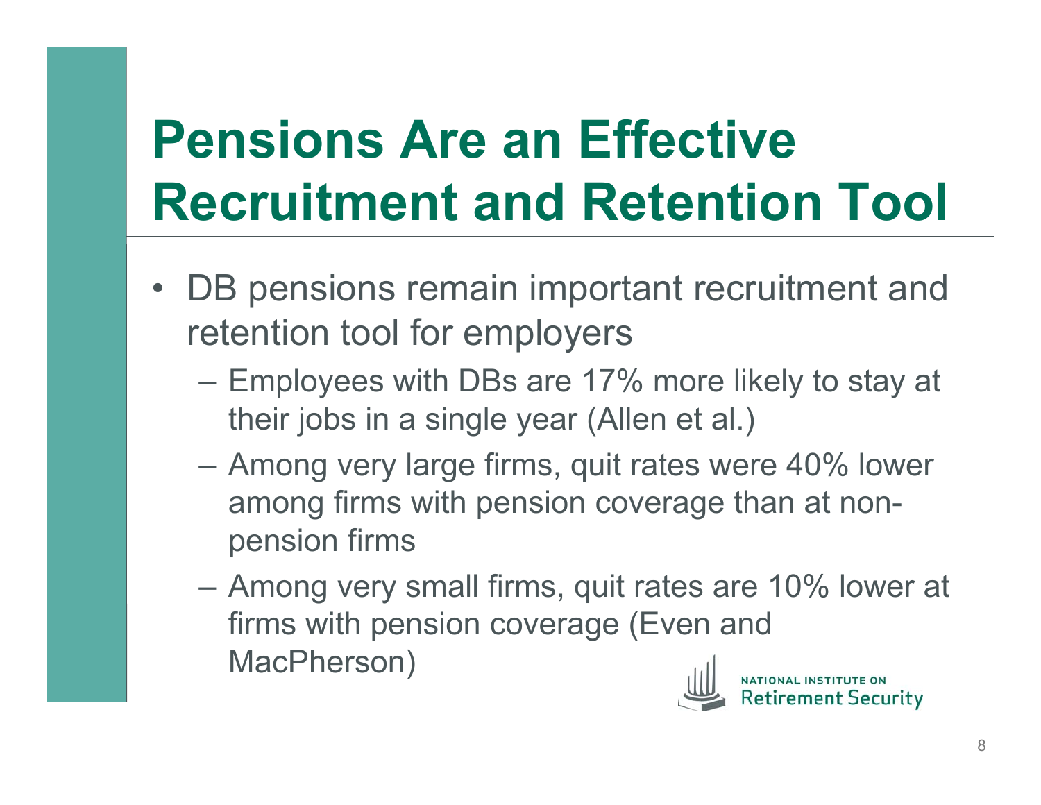# **Pensions Are an Effective Recruitment and Retention Tool**

- DB pensions remain important recruitment and retention tool for employers
	- Employees with DBs are 17% more likely to stay at their jobs in a single year (Allen et al.)
	- Among very large firms, quit rates were 40% lower among firms with pension coverage than at nonpension firms
	- Among very small firms, quit rates are 10% lower at firms with pension coverage (Even and MacPherson)



nent Security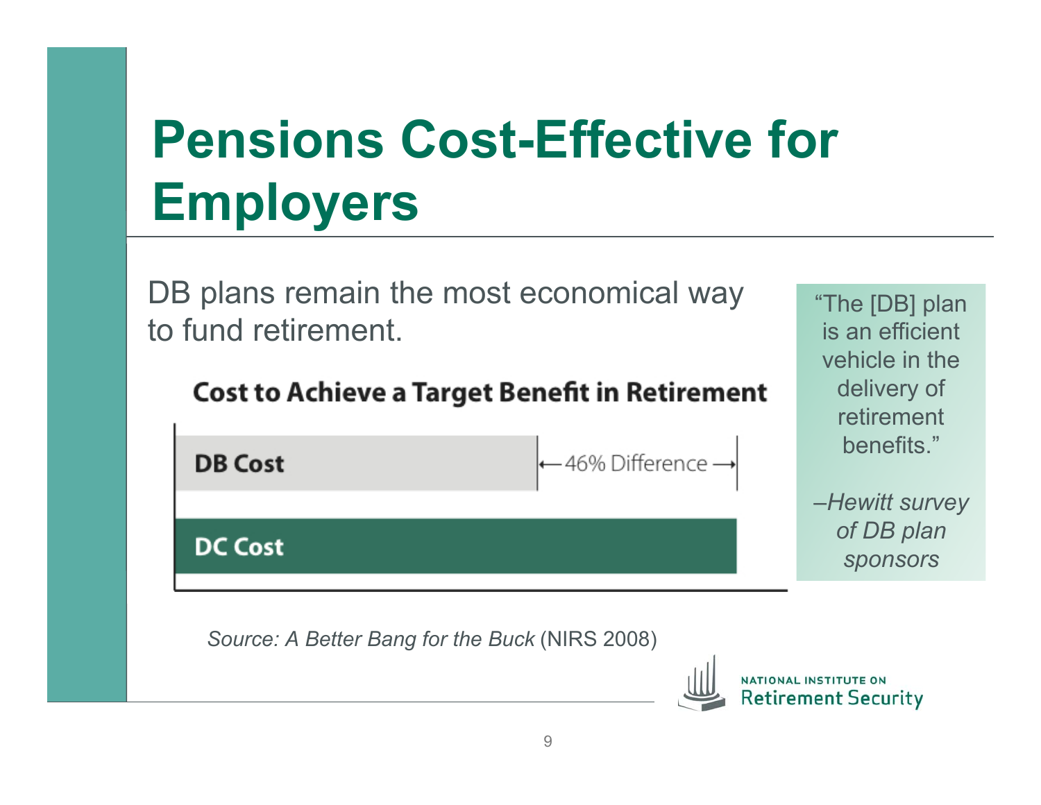# **Pensions Cost-Effective for Employers**

DB plans remain the most economical way to fund retirement.

#### **Cost to Achieve a Target Benefit in Retirement**



*Source: A Better Bang for the Buck* (NIRS 2008)



"The [DB] plan is an efficient

vehicle in the

delivery of retirement

benefits."

*of DB plan* 

*sponsors*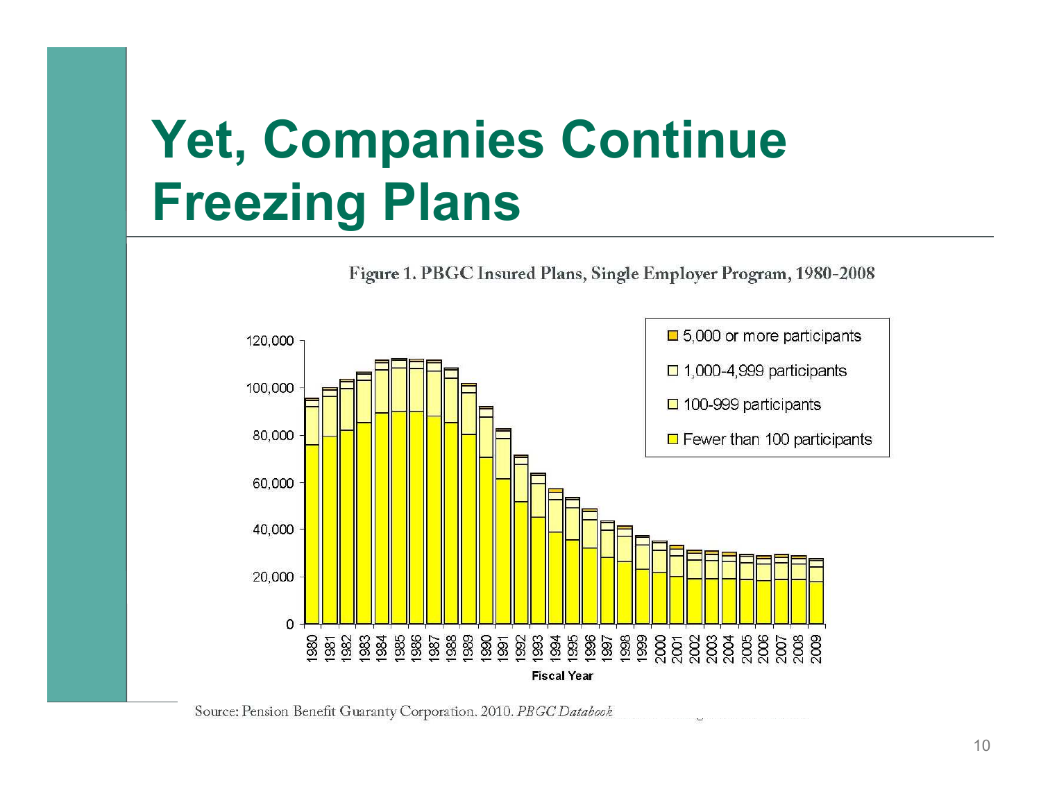## **Yet, Companies Continue Freezing Plans**

Figure 1. PBGC Insured Plans, Single Employer Program, 1980-2008



Source: Pension Benefit Guaranty Corporation. 2010. PBGC Databook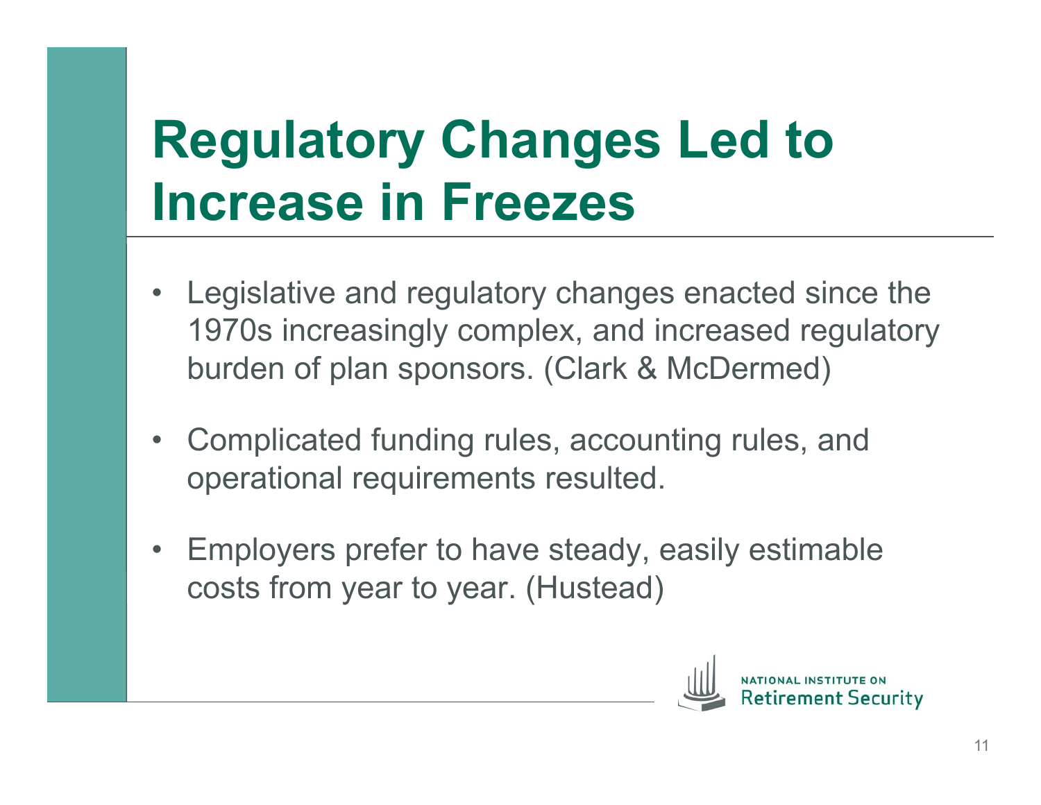#### **Regulatory Changes Led to Increase in Freezes**

- Legislative and regulatory changes enacted since the 1970s increasingly complex, and increased regulatory burden of plan sponsors. (Clark & McDermed)
- Complicated funding rules, accounting rules, and operational requirements resulted.
- Employers prefer to have steady, easily estimable costs from year to year. (Hustead)

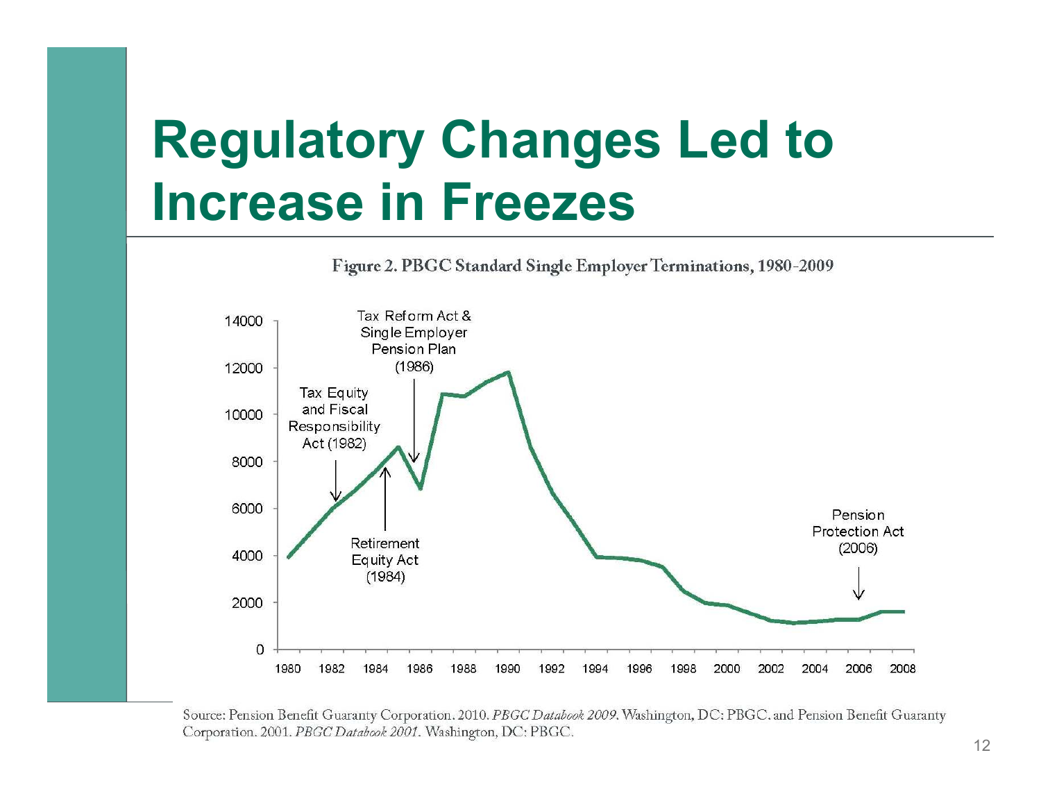#### **Regulatory Changes Led to Increase in Freezes**



Source: Pension Benefit Guaranty Corporation. 2010. PBGC Databook 2009. Washington, DC: PBGC. and Pension Benefit Guaranty Corporation. 2001. PBGC Databook 2001. Washington, DC: PBGC.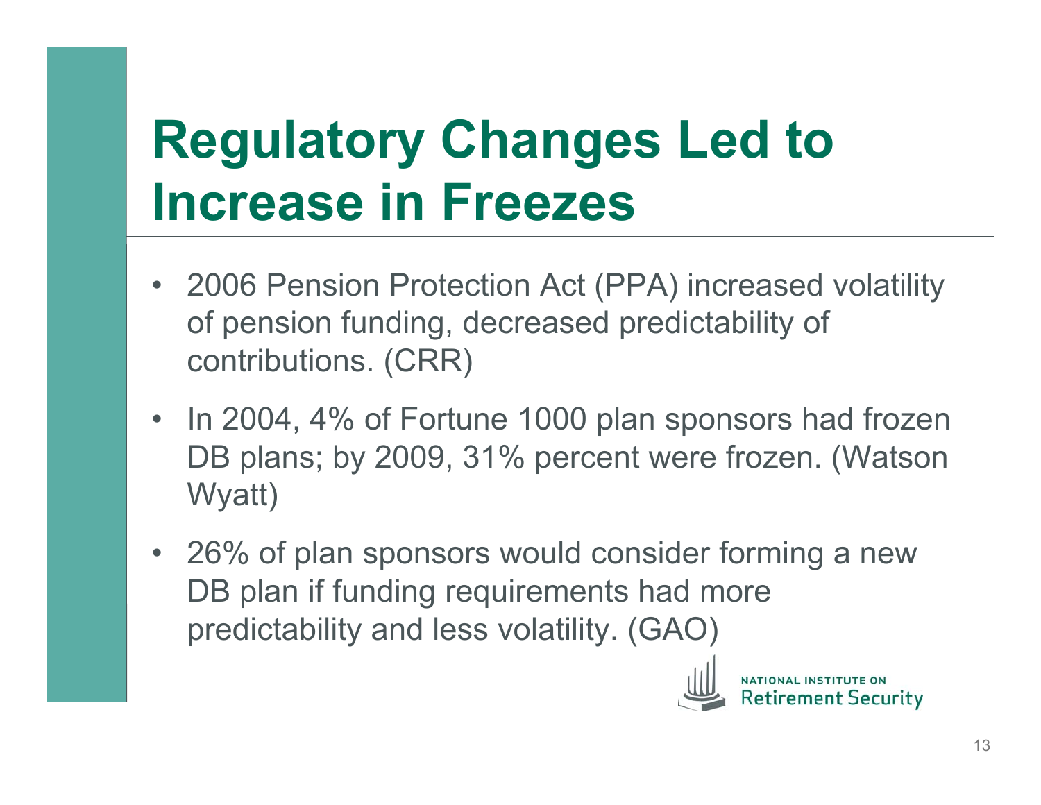# **Regulatory Changes Led to Increase in Freezes**

- 2006 Pension Protection Act (PPA) increased volatility of pension funding, decreased predictability of contributions. (CRR)
- In 2004, 4% of Fortune 1000 plan sponsors had frozen DB plans; by 2009, 31% percent were frozen. (Watson Wyatt)
- 26% of plan sponsors would consider forming a new DB plan if funding requirements had more predictability and less volatility. (GAO)



ement Securitv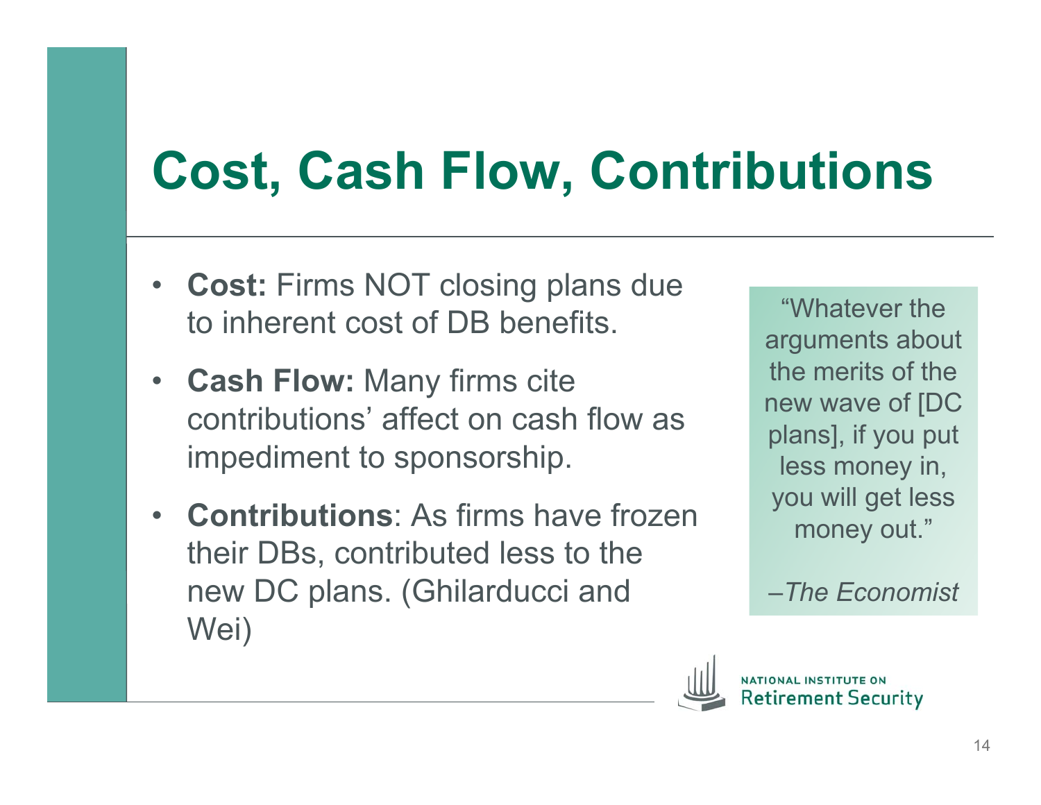#### **Cost, Cash Flow, Contributions**

- **Cost:** Firms NOT closing plans due to inherent cost of DB benefits.
- **Cash Flow:** Many firms cite contributions' affect on cash flow as impediment to sponsorship.
- **Contributions**: As firms have frozen their DBs, contributed less to the new DC plans. (Ghilarducci and Wei)

"Whatever the arguments about the merits of the new wave of [DC plans], if you put less money in, you will get less money out."

*–The Economist* 

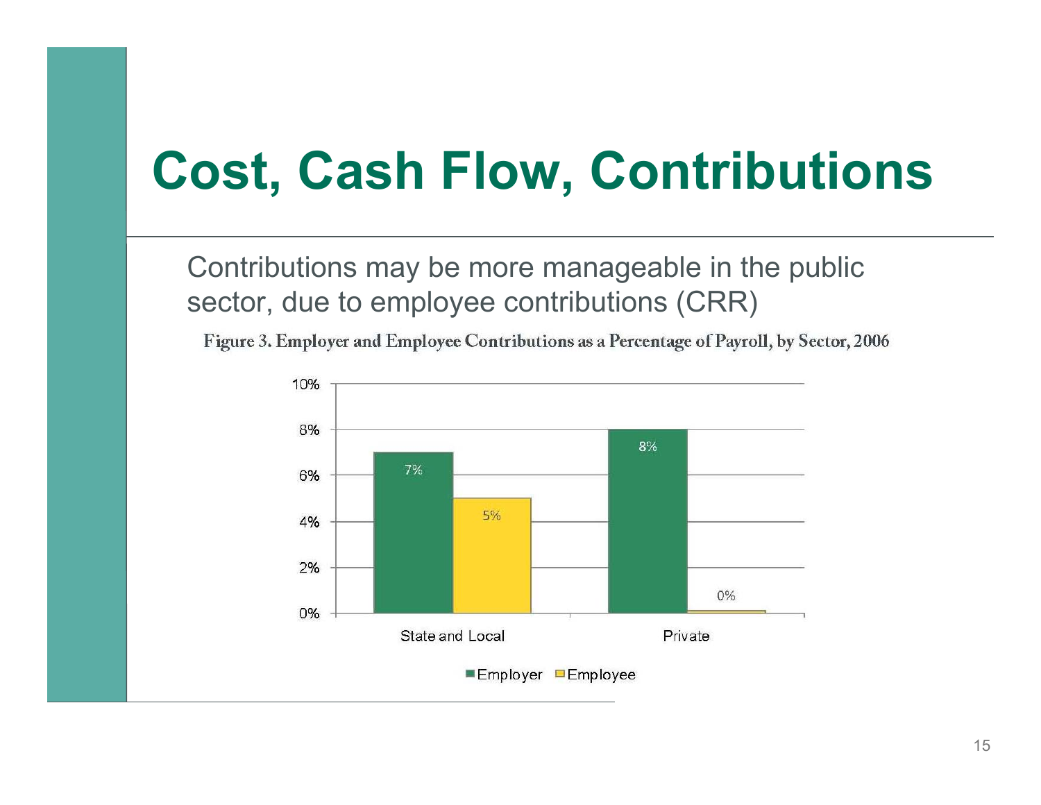#### **Cost, Cash Flow, Contributions**

Contributions may be more manageable in the public sector, due to employee contributions (CRR)

Figure 3. Employer and Employee Contributions as a Percentage of Payroll, by Sector, 2006

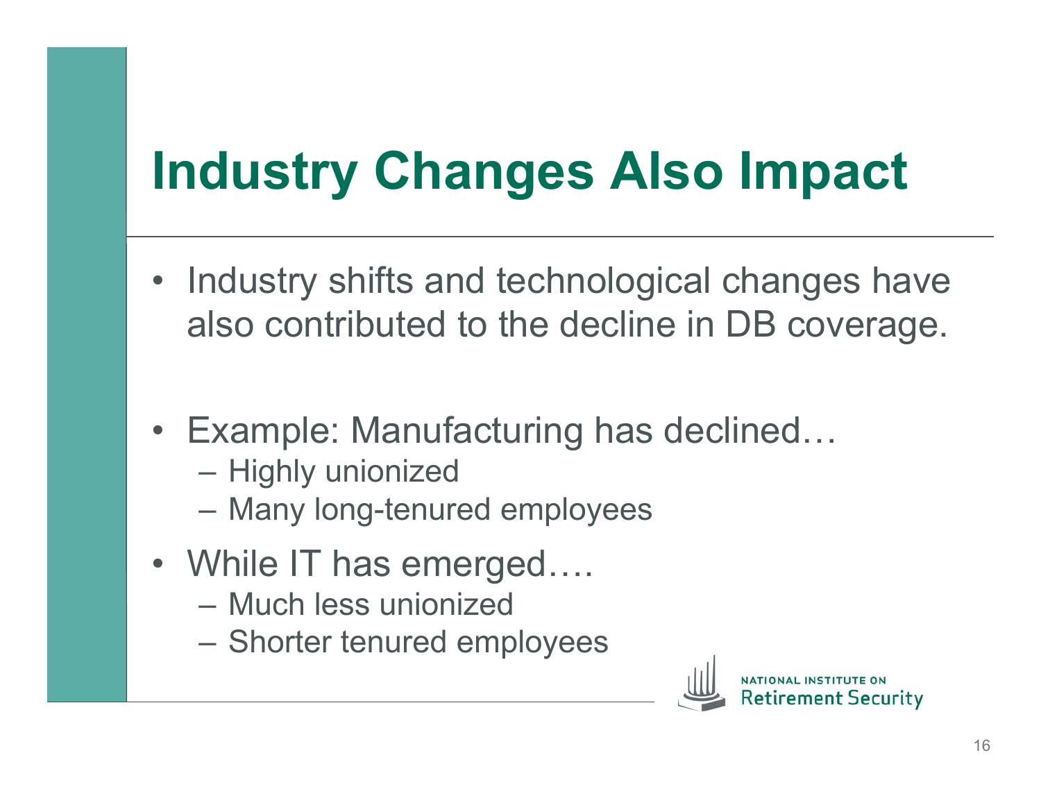# **Industry Changes Also Impact**

- Industry shifts and technological changes have also contributed to the decline in DB coverage.
- Example: Manufacturing has declined…
	- Highly unionized
	- Many long-tenured employees
- While IT has emerged....
	- Much less unionized
	- Shorter tenured employees

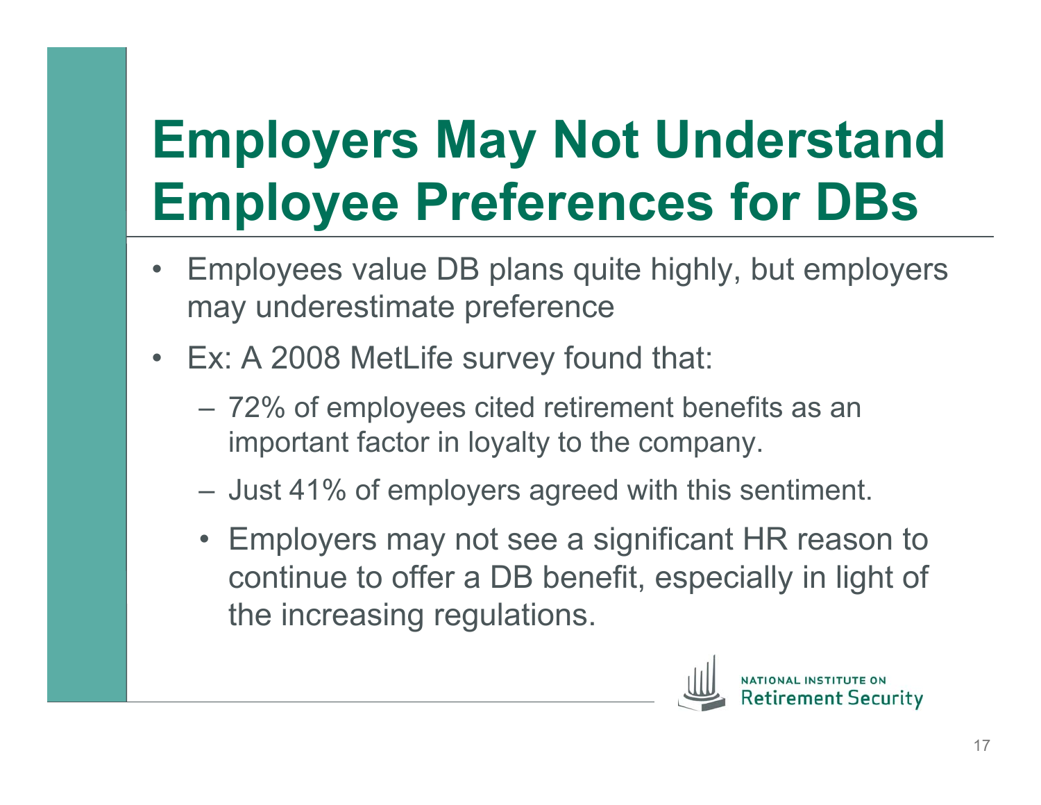# **Employers May Not Understand Employee Preferences for DBs**

- Employees value DB plans quite highly, but employers may underestimate preference
- Ex: A 2008 MetLife survey found that:
	- 72% of employees cited retirement benefits as an important factor in loyalty to the company.
	- Just 41% of employers agreed with this sentiment.
	- Employers may not see a significant HR reason to continue to offer a DB benefit, especially in light of the increasing regulations.

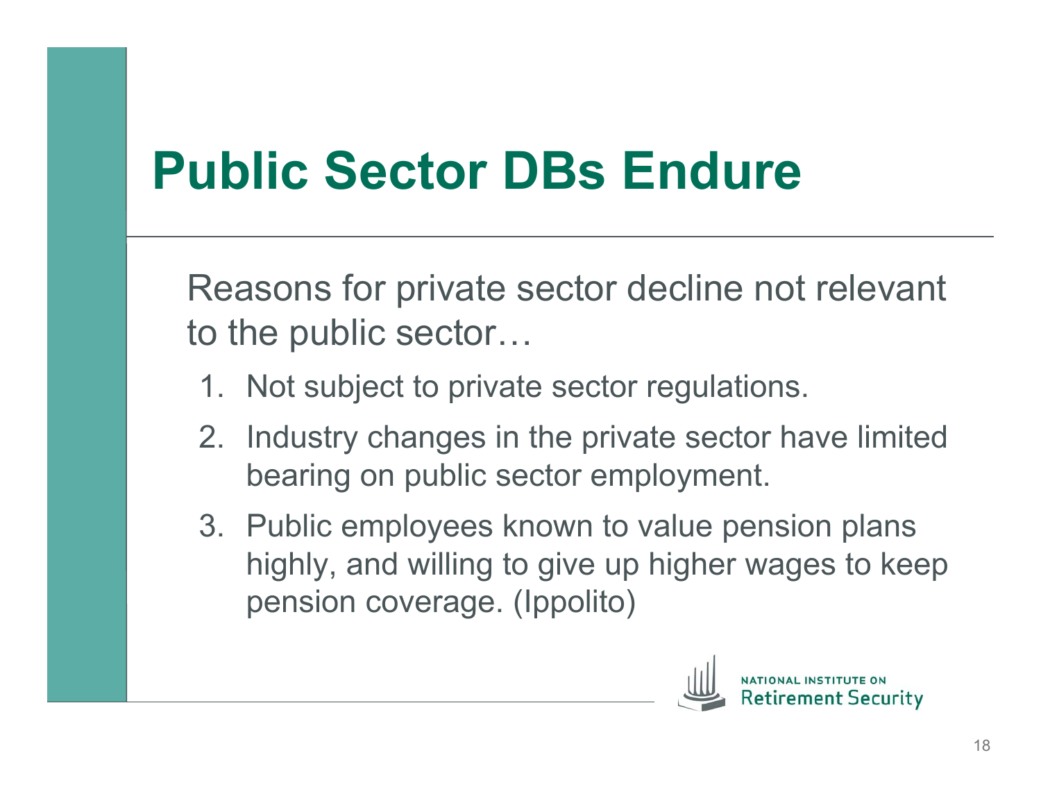#### **Public Sector DBs Endure**

Reasons for private sector decline not relevant to the public sector…

- 1. Not subject to private sector regulations.
- 2. Industry changes in the private sector have limited bearing on public sector employment.
- 3. Public employees known to value pension plans highly, and willing to give up higher wages to keep pension coverage. (Ippolito)

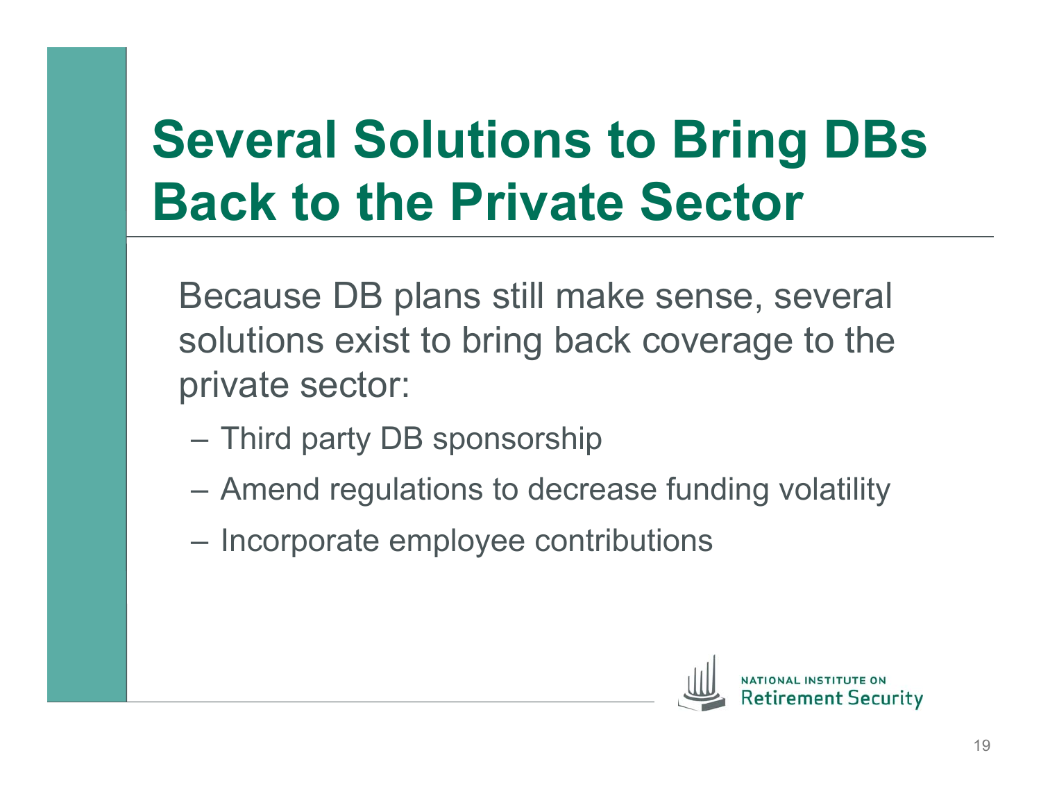# **Several Solutions to Bring DBs Back to the Private Sector**

Because DB plans still make sense, several solutions exist to bring back coverage to the private sector:

- Third party DB sponsorship
- Amend regulations to decrease funding volatility
- Incorporate employee contributions

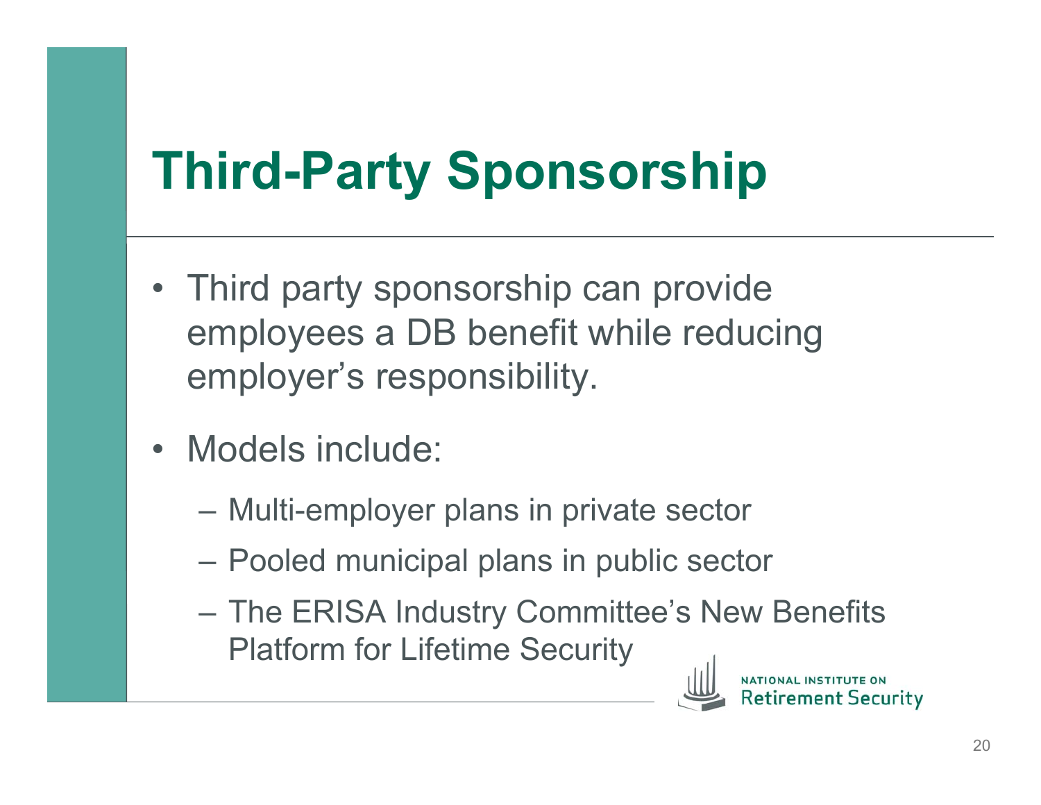# **Third-Party Sponsorship**

- Third party sponsorship can provide employees a DB benefit while reducing employer's responsibility.
- Models include:
	- Multi-employer plans in private sector
	- Pooled municipal plans in public sector
	- The ERISA Industry Committee's New Benefits Platform for Lifetime Security



ment Securitv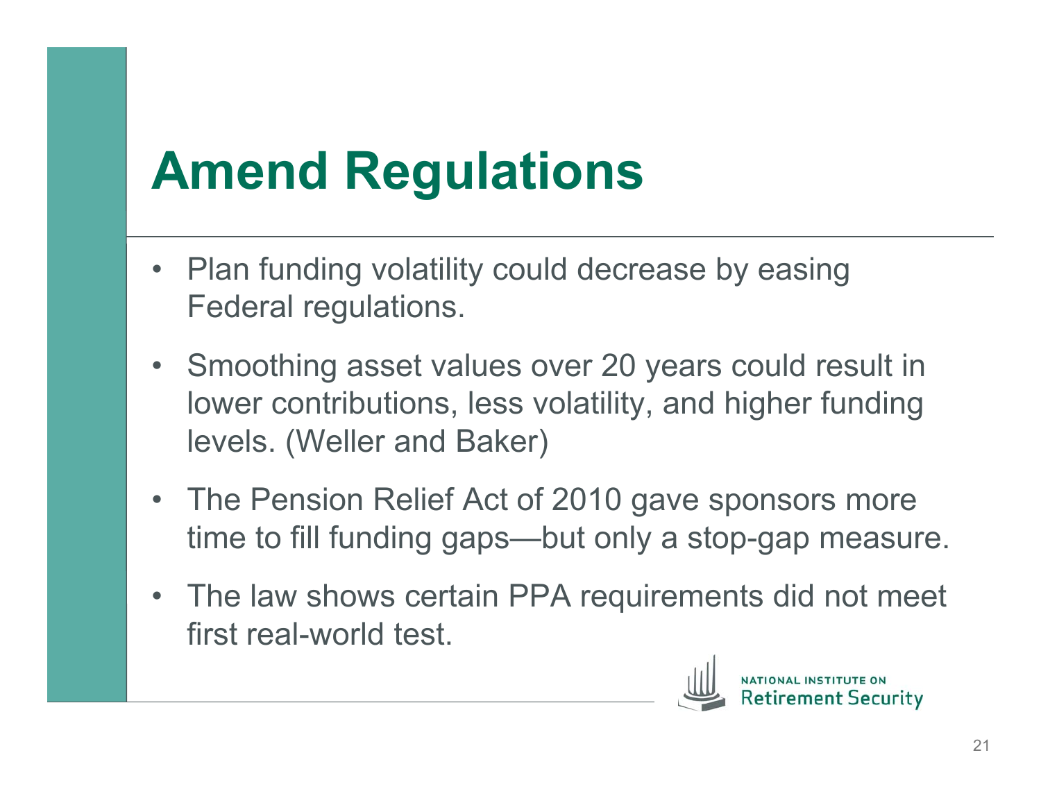#### **Amend Regulations**

- Plan funding volatility could decrease by easing Federal regulations.
- Smoothing asset values over 20 years could result in lower contributions, less volatility, and higher funding levels. (Weller and Baker)
- The Pension Relief Act of 2010 gave sponsors more time to fill funding gaps—but only a stop-gap measure.
- The law shows certain PPA requirements did not meet first real-world test.

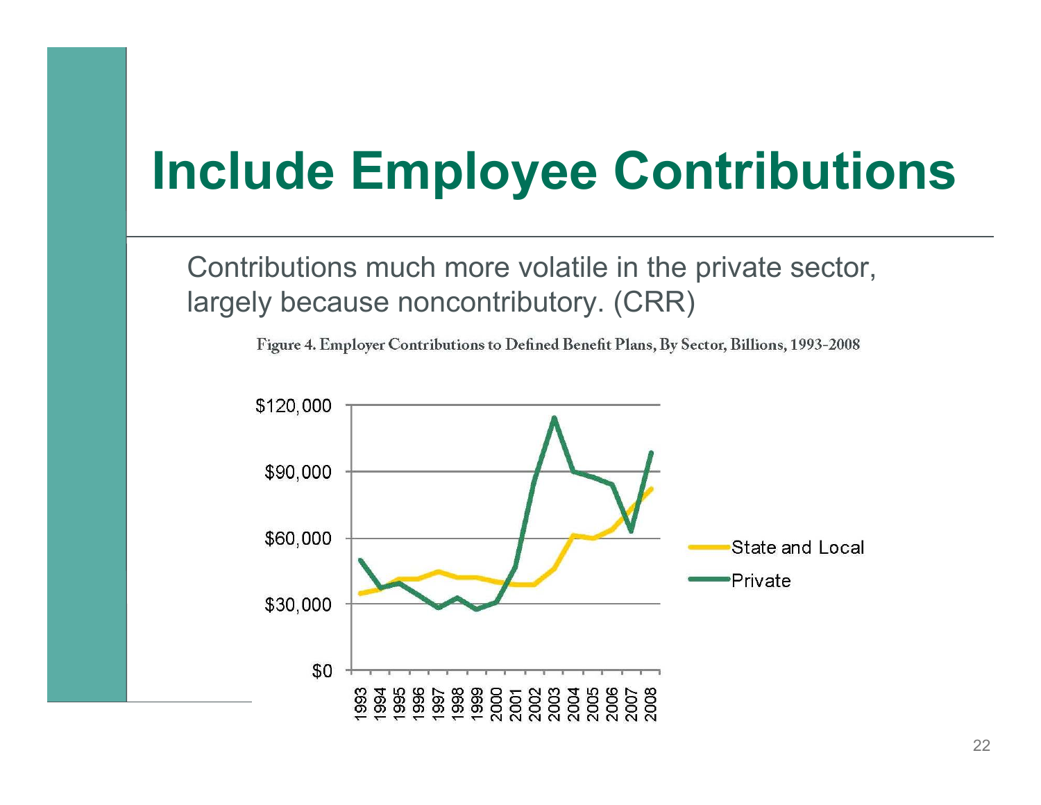#### **Include Employee Contributions**

Contributions much more volatile in the private sector, largely because noncontributory. (CRR)

Figure 4. Employer Contributions to Defined Benefit Plans, By Sector, Billions, 1993-2008

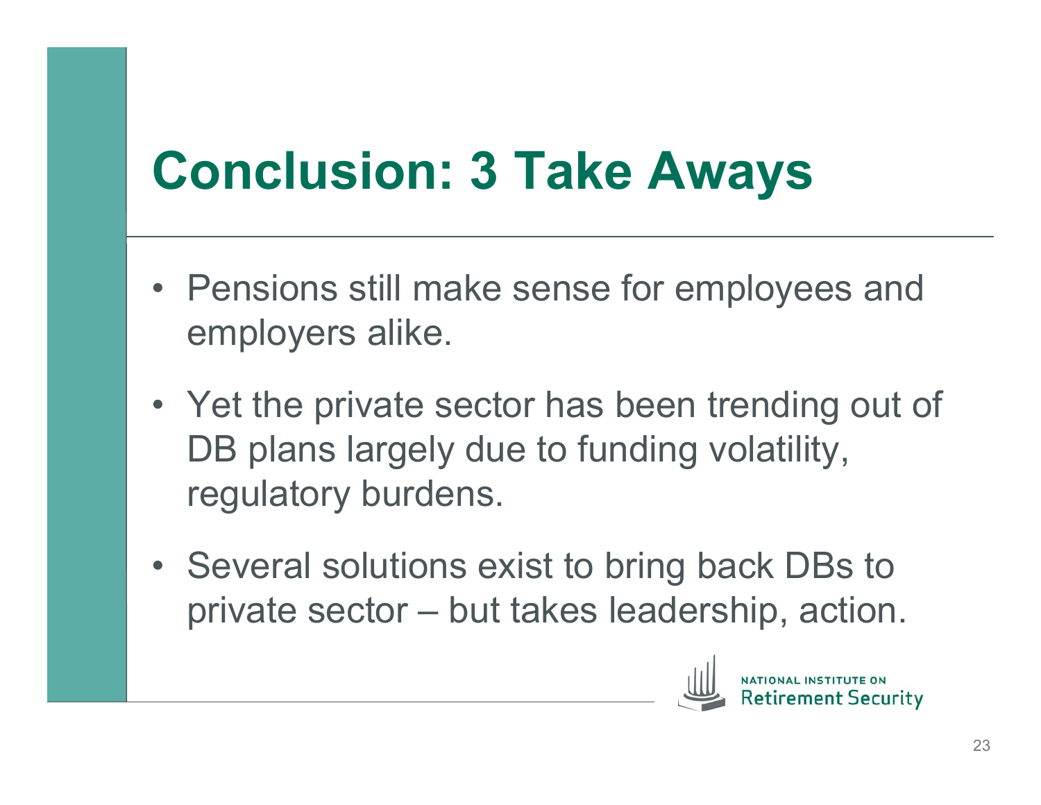#### **Conclusion: 3 Take Aways**

- Pensions still make sense for employees and employers alike.
- Yet the private sector has been trending out of DB plans largely due to funding volatility, regulatory burdens.
- Several solutions exist to bring back DBs to private sector – but takes leadership, action.